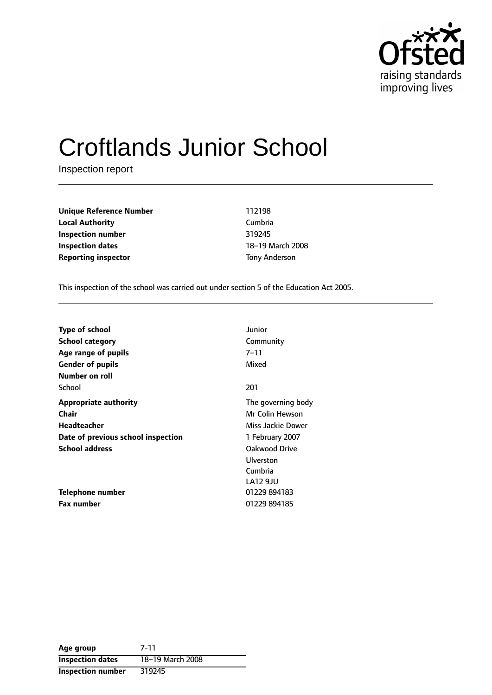

# Croftlands Junior School

Inspection report

**Unique Reference Number** 112198 **Local Authority** Cumbria **Inspection number** 319245 **Inspection dates** 18-19 March 2008 **Reporting inspector** Tony Anderson

This inspection of the school was carried out under section 5 of the Education Act 2005.

| <b>Type of school</b>              | Junior             |
|------------------------------------|--------------------|
| <b>School category</b>             | Community          |
| Age range of pupils                | 7–11               |
| <b>Gender of pupils</b>            | Mixed              |
| Number on roll                     |                    |
| School                             | 201                |
| <b>Appropriate authority</b>       | The governing body |
| <b>Chair</b>                       | Mr Colin Hewson    |
| Headteacher                        | Miss Jackie Dower  |
| Date of previous school inspection | 1 February 2007    |
| <b>School address</b>              | Oakwood Drive      |
|                                    | Ulverston          |
|                                    | Cumbria            |
|                                    | LA12 9JU           |
| Telephone number                   | 01229 894183       |
| <b>Fax number</b>                  | 01229 894185       |

| Age group                | 7-11             |
|--------------------------|------------------|
| <b>Inspection dates</b>  | 18-19 March 2008 |
| <b>Inspection number</b> | 319245           |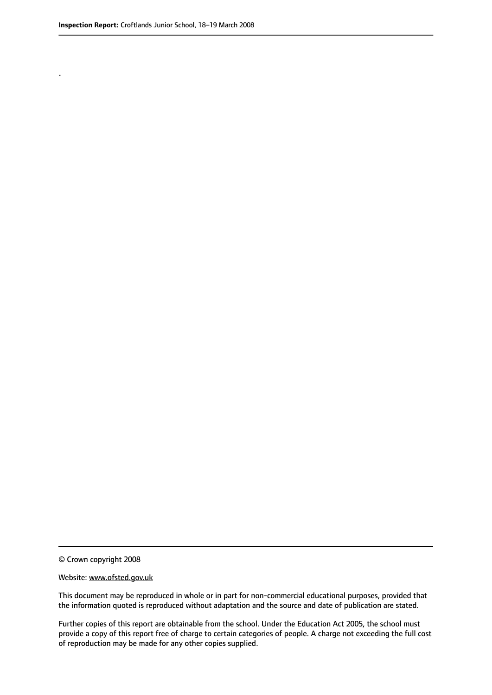.

© Crown copyright 2008

#### Website: www.ofsted.gov.uk

This document may be reproduced in whole or in part for non-commercial educational purposes, provided that the information quoted is reproduced without adaptation and the source and date of publication are stated.

Further copies of this report are obtainable from the school. Under the Education Act 2005, the school must provide a copy of this report free of charge to certain categories of people. A charge not exceeding the full cost of reproduction may be made for any other copies supplied.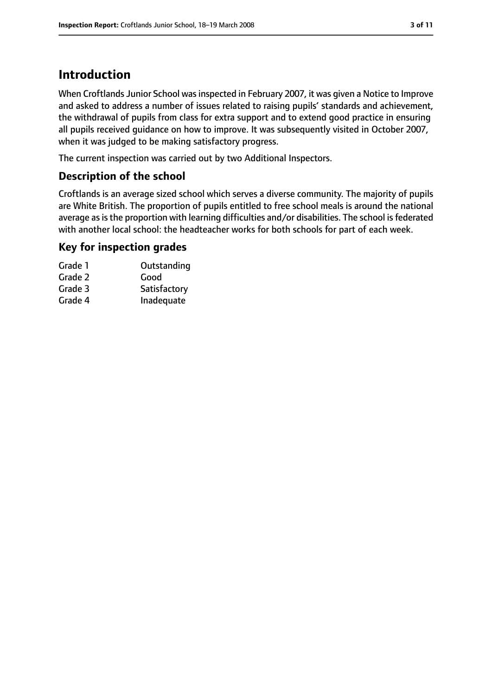## **Introduction**

When Croftlands Junior School was inspected in February 2007, it was given a Notice to Improve and asked to address a number of issues related to raising pupils' standards and achievement, the withdrawal of pupils from class for extra support and to extend good practice in ensuring all pupils received guidance on how to improve. It was subsequently visited in October 2007, when it was judged to be making satisfactory progress.

The current inspection was carried out by two Additional Inspectors.

### **Description of the school**

Croftlands is an average sized school which serves a diverse community. The majority of pupils are White British. The proportion of pupils entitled to free school meals is around the national average as is the proportion with learning difficulties and/or disabilities. The school is federated with another local school: the headteacher works for both schools for part of each week.

#### **Key for inspection grades**

| Outstanding  |
|--------------|
| Good         |
| Satisfactory |
| Inadequate   |
|              |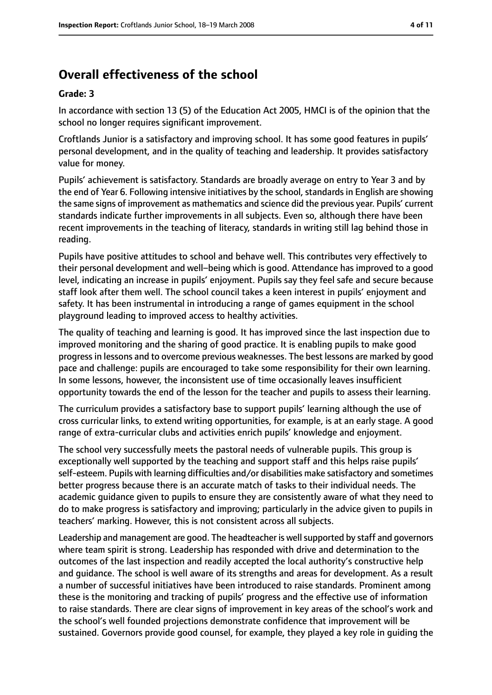# **Overall effectiveness of the school**

#### **Grade: 3**

In accordance with section 13 (5) of the Education Act 2005, HMCI is of the opinion that the school no longer requires significant improvement.

Croftlands Junior is a satisfactory and improving school. It has some good features in pupils' personal development, and in the quality of teaching and leadership. It provides satisfactory value for money.

Pupils' achievement is satisfactory. Standards are broadly average on entry to Year 3 and by the end of Year 6. Following intensive initiatives by the school, standards in English are showing the same signs of improvement as mathematics and science did the previous year. Pupils' current standards indicate further improvements in all subjects. Even so, although there have been recent improvements in the teaching of literacy, standards in writing still lag behind those in reading.

Pupils have positive attitudes to school and behave well. This contributes very effectively to their personal development and well-being which is good. Attendance has improved to a good level, indicating an increase in pupils' enjoyment. Pupils say they feel safe and secure because staff look after them well. The school council takes a keen interest in pupils' enjoyment and safety. It has been instrumental in introducing a range of games equipment in the school playground leading to improved access to healthy activities.

The quality of teaching and learning is good. It has improved since the last inspection due to improved monitoring and the sharing of good practice. It is enabling pupils to make good progressin lessons and to overcome previous weaknesses. The best lessons are marked by good pace and challenge: pupils are encouraged to take some responsibility for their own learning. In some lessons, however, the inconsistent use of time occasionally leaves insufficient opportunity towards the end of the lesson for the teacher and pupils to assess their learning.

The curriculum provides a satisfactory base to support pupils' learning although the use of cross curricular links, to extend writing opportunities, for example, is at an early stage. A good range of extra-curricular clubs and activities enrich pupils' knowledge and enjoyment.

The school very successfully meets the pastoral needs of vulnerable pupils. This group is exceptionally well supported by the teaching and support staff and this helps raise pupils' self-esteem. Pupils with learning difficulties and/or disabilities make satisfactory and sometimes better progress because there is an accurate match of tasks to their individual needs. The academic guidance given to pupils to ensure they are consistently aware of what they need to do to make progress is satisfactory and improving; particularly in the advice given to pupils in teachers' marking. However, this is not consistent across all subjects.

Leadership and management are good. The headteacher is wellsupported by staff and governors where team spirit is strong. Leadership has responded with drive and determination to the outcomes of the last inspection and readily accepted the local authority's constructive help and guidance. The school is well aware of its strengths and areas for development. As a result a number of successful initiatives have been introduced to raise standards. Prominent among these is the monitoring and tracking of pupils' progress and the effective use of information to raise standards. There are clear signs of improvement in key areas of the school's work and the school's well founded projections demonstrate confidence that improvement will be sustained. Governors provide good counsel, for example, they played a key role in guiding the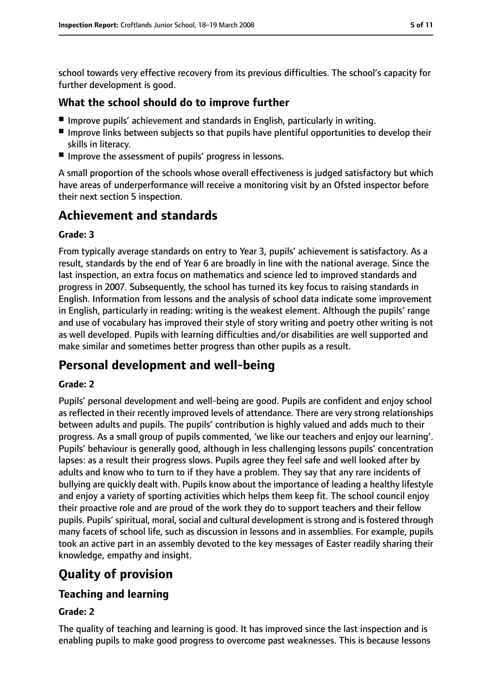school towards very effective recovery from its previous difficulties. The school's capacity for further development is good.

#### **What the school should do to improve further**

- Improve pupils' achievement and standards in English, particularly in writing.
- Improve links between subjects so that pupils have plentiful opportunities to develop their skills in literacy.
- Improve the assessment of pupils' progress in lessons.

A small proportion of the schools whose overall effectiveness is judged satisfactory but which have areas of underperformance will receive a monitoring visit by an Ofsted inspector before their next section 5 inspection.

## **Achievement and standards**

#### **Grade: 3**

From typically average standards on entry to Year 3, pupils' achievement is satisfactory. As a result, standards by the end of Year 6 are broadly in line with the national average. Since the last inspection, an extra focus on mathematics and science led to improved standards and progress in 2007. Subsequently, the school has turned its key focus to raising standards in English. Information from lessons and the analysis of school data indicate some improvement in English, particularly in reading: writing is the weakest element. Although the pupils' range and use of vocabulary has improved their style of story writing and poetry other writing is not as well developed. Pupils with learning difficulties and/or disabilities are well supported and make similar and sometimes better progress than other pupils as a result.

## **Personal development and well-being**

#### **Grade: 2**

Pupils' personal development and well-being are good. Pupils are confident and enjoy school as reflected in their recently improved levels of attendance. There are very strong relationships between adults and pupils. The pupils' contribution is highly valued and adds much to their progress. As a small group of pupils commented, 'we like our teachers and enjoy our learning'. Pupils' behaviour is generally good, although in less challenging lessons pupils' concentration lapses: as a result their progress slows. Pupils agree they feel safe and well looked after by adults and know who to turn to if they have a problem. They say that any rare incidents of bullying are quickly dealt with. Pupils know about the importance of leading a healthy lifestyle and enjoy a variety of sporting activities which helps them keep fit. The school council enjoy their proactive role and are proud of the work they do to support teachers and their fellow pupils. Pupils' spiritual, moral, social and cultural development is strong and is fostered through many facets of school life, such as discussion in lessons and in assemblies. For example, pupils took an active part in an assembly devoted to the key messages of Easter readily sharing their knowledge, empathy and insight.

## **Quality of provision**

## **Teaching and learning**

#### **Grade: 2**

The quality of teaching and learning is good. It has improved since the last inspection and is enabling pupils to make good progress to overcome past weaknesses. This is because lessons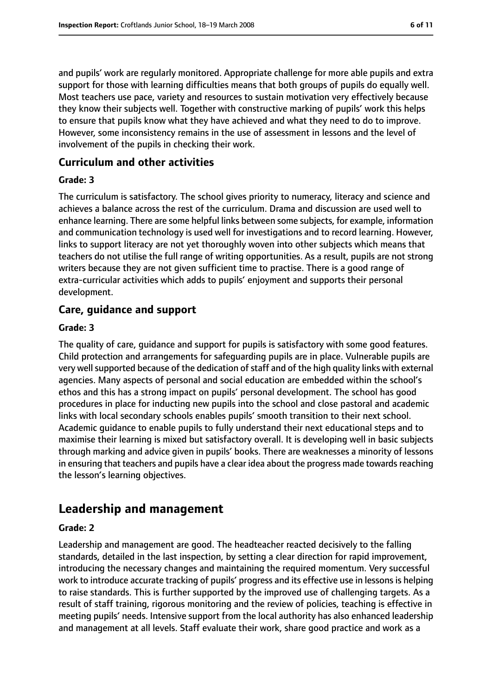and pupils' work are regularly monitored. Appropriate challenge for more able pupils and extra support for those with learning difficulties means that both groups of pupils do equally well. Most teachers use pace, variety and resources to sustain motivation very effectively because they know their subjects well. Together with constructive marking of pupils' work this helps to ensure that pupils know what they have achieved and what they need to do to improve. However, some inconsistency remains in the use of assessment in lessons and the level of involvement of the pupils in checking their work.

#### **Curriculum and other activities**

#### **Grade: 3**

The curriculum is satisfactory. The school gives priority to numeracy, literacy and science and achieves a balance across the rest of the curriculum. Drama and discussion are used well to enhance learning. There are some helpful links between some subjects, for example, information and communication technology is used well for investigations and to record learning. However, links to support literacy are not yet thoroughly woven into other subjects which means that teachers do not utilise the full range of writing opportunities. As a result, pupils are not strong writers because they are not given sufficient time to practise. There is a good range of extra-curricular activities which adds to pupils' enjoyment and supports their personal development.

#### **Care, guidance and support**

#### **Grade: 3**

The quality of care, guidance and support for pupils is satisfactory with some good features. Child protection and arrangements for safeguarding pupils are in place. Vulnerable pupils are very well supported because of the dedication of staff and of the high quality links with external agencies. Many aspects of personal and social education are embedded within the school's ethos and this has a strong impact on pupils' personal development. The school has good procedures in place for inducting new pupils into the school and close pastoral and academic links with local secondary schools enables pupils' smooth transition to their next school. Academic guidance to enable pupils to fully understand their next educational steps and to maximise their learning is mixed but satisfactory overall. It is developing well in basic subjects through marking and advice given in pupils' books. There are weaknesses a minority of lessons in ensuring that teachers and pupils have a clear idea about the progress made towards reaching the lesson's learning objectives.

## **Leadership and management**

#### **Grade: 2**

Leadership and management are good. The headteacher reacted decisively to the falling standards, detailed in the last inspection, by setting a clear direction for rapid improvement, introducing the necessary changes and maintaining the required momentum. Very successful work to introduce accurate tracking of pupils' progress and its effective use in lessons is helping to raise standards. This is further supported by the improved use of challenging targets. As a result of staff training, rigorous monitoring and the review of policies, teaching is effective in meeting pupils' needs. Intensive support from the local authority has also enhanced leadership and management at all levels. Staff evaluate their work, share good practice and work as a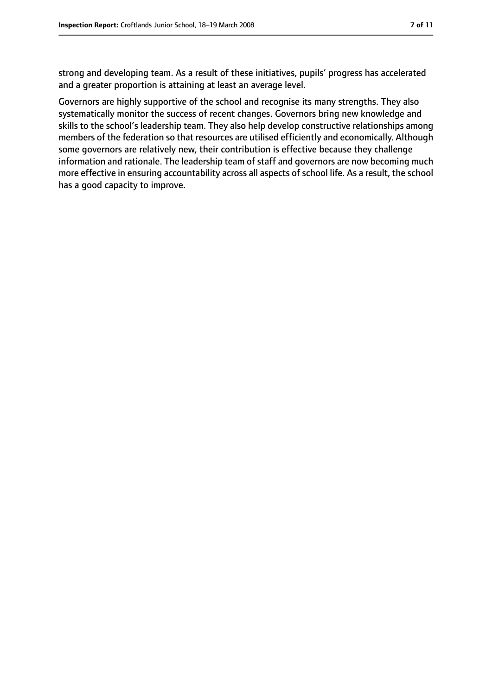strong and developing team. As a result of these initiatives, pupils' progress has accelerated and a greater proportion is attaining at least an average level.

Governors are highly supportive of the school and recognise its many strengths. They also systematically monitor the success of recent changes. Governors bring new knowledge and skills to the school's leadership team. They also help develop constructive relationships among members of the federation so that resources are utilised efficiently and economically. Although some governors are relatively new, their contribution is effective because they challenge information and rationale. The leadership team of staff and governors are now becoming much more effective in ensuring accountability across all aspects of school life. As a result, the school has a good capacity to improve.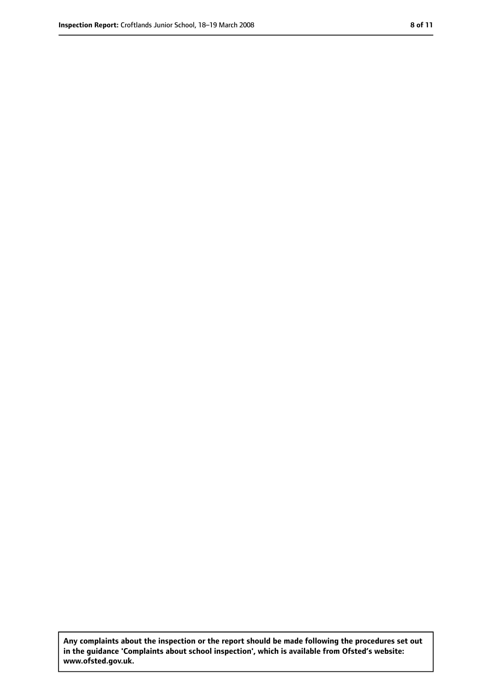**Any complaints about the inspection or the report should be made following the procedures set out in the guidance 'Complaints about school inspection', which is available from Ofsted's website: www.ofsted.gov.uk.**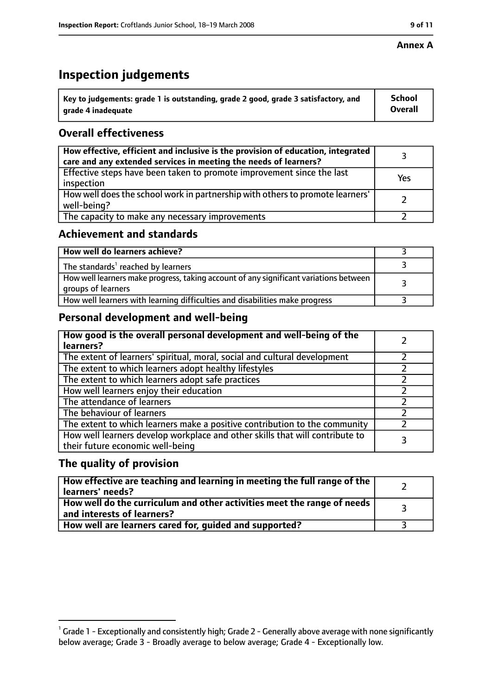#### **Annex A**

## **Inspection judgements**

| $^{\backprime}$ Key to judgements: grade 1 is outstanding, grade 2 good, grade 3 satisfactory, and | <b>School</b>  |
|----------------------------------------------------------------------------------------------------|----------------|
| arade 4 inadeguate                                                                                 | <b>Overall</b> |

## **Overall effectiveness**

| How effective, efficient and inclusive is the provision of education, integrated<br>care and any extended services in meeting the needs of learners? |     |
|------------------------------------------------------------------------------------------------------------------------------------------------------|-----|
| Effective steps have been taken to promote improvement since the last<br>inspection                                                                  | Yes |
| How well does the school work in partnership with others to promote learners'<br>well-being?                                                         |     |
| The capacity to make any necessary improvements                                                                                                      |     |

## **Achievement and standards**

| How well do learners achieve?                                                                               |  |
|-------------------------------------------------------------------------------------------------------------|--|
| The standards <sup>1</sup> reached by learners                                                              |  |
| How well learners make progress, taking account of any significant variations between<br>groups of learners |  |
| How well learners with learning difficulties and disabilities make progress                                 |  |

## **Personal development and well-being**

| How good is the overall personal development and well-being of the<br>learners?                                  |  |
|------------------------------------------------------------------------------------------------------------------|--|
| The extent of learners' spiritual, moral, social and cultural development                                        |  |
| The extent to which learners adopt healthy lifestyles                                                            |  |
| The extent to which learners adopt safe practices                                                                |  |
| How well learners enjoy their education                                                                          |  |
| The attendance of learners                                                                                       |  |
| The behaviour of learners                                                                                        |  |
| The extent to which learners make a positive contribution to the community                                       |  |
| How well learners develop workplace and other skills that will contribute to<br>their future economic well-being |  |

### **The quality of provision**

| $\mid$ How effective are teaching and learning in meeting the full range of the $\mid$<br>learners' needs? |  |
|------------------------------------------------------------------------------------------------------------|--|
| How well do the curriculum and other activities meet the range of needs  <br>and interests of learners?    |  |
| How well are learners cared for, guided and supported?                                                     |  |

 $^1$  Grade 1 - Exceptionally and consistently high; Grade 2 - Generally above average with none significantly below average; Grade 3 - Broadly average to below average; Grade 4 - Exceptionally low.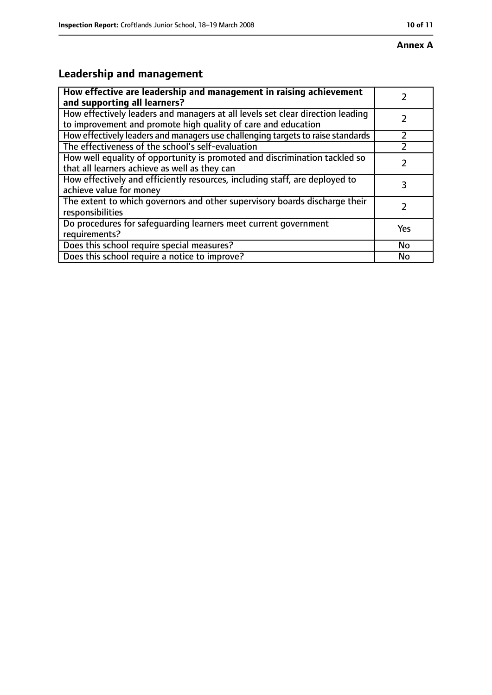# **Leadership and management**

| How effective are leadership and management in raising achievement<br>and supporting all learners?                                              |     |
|-------------------------------------------------------------------------------------------------------------------------------------------------|-----|
| How effectively leaders and managers at all levels set clear direction leading<br>to improvement and promote high quality of care and education |     |
| How effectively leaders and managers use challenging targets to raise standards                                                                 |     |
| The effectiveness of the school's self-evaluation                                                                                               |     |
| How well equality of opportunity is promoted and discrimination tackled so<br>that all learners achieve as well as they can                     |     |
| How effectively and efficiently resources, including staff, are deployed to<br>achieve value for money                                          | 3   |
| The extent to which governors and other supervisory boards discharge their<br>responsibilities                                                  |     |
| Do procedures for safequarding learners meet current government<br>requirements?                                                                | Yes |
| Does this school require special measures?                                                                                                      | No  |
| Does this school require a notice to improve?                                                                                                   | No  |